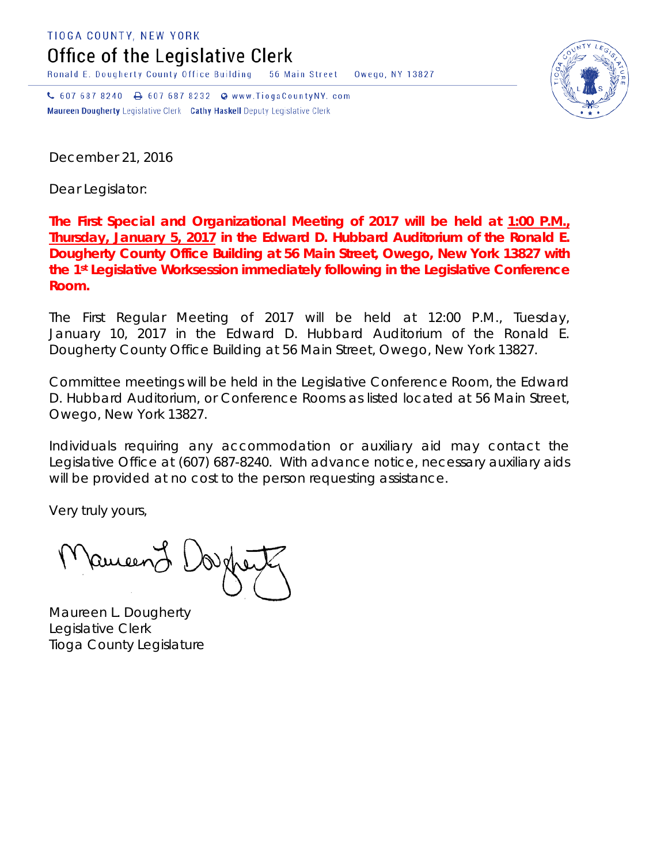TIOGA COUNTY, NEW YORK

Office of the Legislative Clerk

Ronald E. Dougherty County Office Building 56 Main Street Owego, NY 13827

↓ 607 687 8240 → 607 687 8232 → www.TiogaCountyNY.com Maureen Dougherty Legislative Clerk Cathy Haskell Deputy Legislative Clerk

December 21, 2016

Dear Legislator:

**The First Special and Organizational Meeting of 2017 will be held at 1:00 P.M., Thursday, January 5, 2017 in the Edward D. Hubbard Auditorium of the Ronald E. Dougherty County Office Building at 56 Main Street, Owego, New York 13827 with the 1st Legislative Worksession immediately following in the Legislative Conference Room.**

The First Regular Meeting of 2017 will be held at 12:00 P.M., Tuesday, January 10, 2017 in the Edward D. Hubbard Auditorium of the Ronald E. Dougherty County Office Building at 56 Main Street, Owego, New York 13827.

Committee meetings will be held in the Legislative Conference Room, the Edward D. Hubbard Auditorium, or Conference Rooms as listed located at 56 Main Street, Owego, New York 13827.

Individuals requiring any accommodation or auxiliary aid may contact the Legislative Office at (607) 687-8240. With advance notice, necessary auxiliary aids will be provided at no cost to the person requesting assistance.

Very truly yours,

Pancent {

Maureen L. Dougherty Legislative Clerk Tioga County Legislature